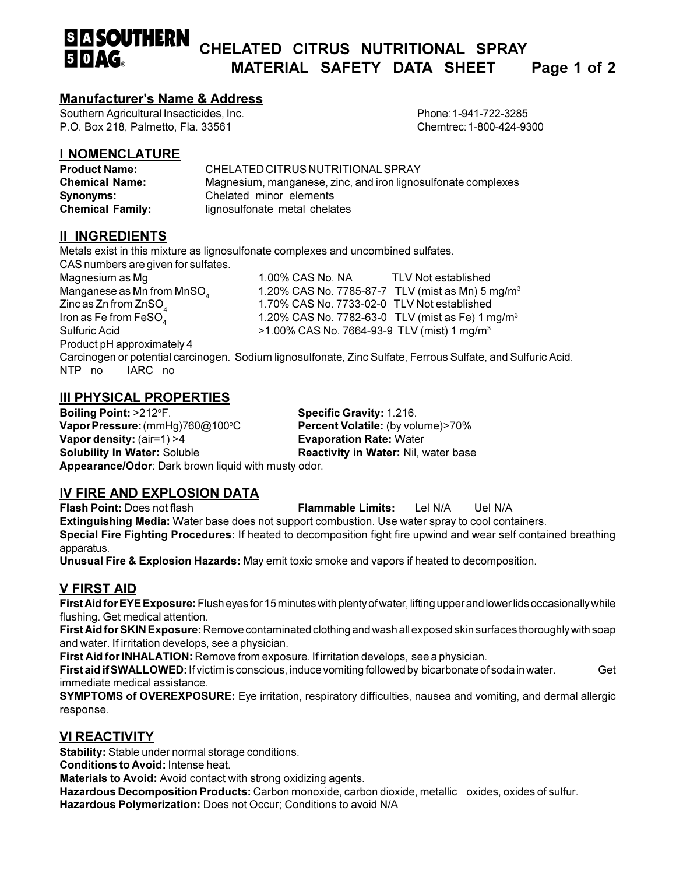### **SIA SOUTHERN** CHELATED CITRUS NUTRITIONAL SPRAY  $50 \, \text{AG}$ MATERIAL SAFETY DATA SHEET Page 1 of 2

## **Manufacturer's Name & Address**

Southern Agricultural Insecticides, Inc. P.O. Box 218, Palmetto, Fla. 33561

Phone: 1-941-722-3285 Chemtrec: 1-800-424-9300

# **I NOMENCLATURE**

| <b>Product Name:</b>    | CHELATED CITRUS NUTRITIONAL SPRAY                             |
|-------------------------|---------------------------------------------------------------|
| <b>Chemical Name:</b>   | Magnesium, manganese, zinc, and iron lignosulfonate complexes |
| Synonyms:               | Chelated minor elements                                       |
| <b>Chemical Family:</b> | lignosulfonate metal chelates                                 |

# **II INGREDIENTS**

Metals exist in this mixture as lignosulfonate complexes and uncombined sulfates.

CAS numbers are given for sulfates.

Magnesium as Mg Manganese as Mn from MnSO<sub>4</sub> Zinc as  $Zn$  from  $ZnSO<sub>a</sub>$ Iron as Fe from FeSO. Sulfuric Acid Product pH approximately 4

1.00% CAS No. NA **TLV Not established** 1.20% CAS No. 7785-87-7 TLV (mist as Mn) 5 mg/m<sup>3</sup> 1.70% CAS No. 7733-02-0 TLV Not established 1.20% CAS No. 7782-63-0 TLV (mist as Fe) 1 mg/m<sup>3</sup> >1.00% CAS No. 7664-93-9 TLV (mist) 1 mg/m<sup>3</sup>

Carcinogen or potential carcinogen. Sodium lignosulfonate, Zinc Sulfate, Ferrous Sulfate, and Sulfuric Acid. NTP no IARC no

# **III PHYSICAL PROPERTIES**

Boiling Point: >212°F. Vapor Pressure: (mmHg)760@100°C Vapor density:  $(air=1) > 4$ **Solubility In Water: Soluble** Appearance/Odor: Dark brown liquid with musty odor.

Specific Gravity: 1.216. Percent Volatile: (by volume)>70% **Evaporation Rate: Water** Reactivity in Water: Nil, water base

# <u>IV FIRE AND EXPLOSION DATA</u>

Flash Point: Does not flash **Flammable Limits:** Lel N/A Uel N/A Extinguishing Media: Water base does not support combustion. Use water spray to cool containers. Special Fire Fighting Procedures: If heated to decomposition fight fire upwind and wear self contained breathing apparatus.

Unusual Fire & Explosion Hazards: May emit toxic smoke and vapors if heated to decomposition.

# **V FIRST AID**

First Aid for EYE Exposure: Flush eyes for 15 minutes with plenty of water, lifting upper and lower lids occasionally while flushing. Get medical attention.

First Aid for SKIN Exposure: Remove contaminated clothing and wash all exposed skin surfaces thoroughly with soap and water. If irritation develops, see a physician.

First Aid for INHALATION: Remove from exposure. If irritation develops, see a physician.

First aid if SWALLOWED: If victim is conscious, induce vomiting followed by bicarbonate of soda in water. Get immediate medical assistance.

**SYMPTOMS of OVEREXPOSURE:** Eye irritation, respiratory difficulties, nausea and vomiting, and dermal allergic response.

# **VI REACTIVITY**

Stability: Stable under normal storage conditions.

Conditions to Avoid: Intense heat.

Materials to Avoid: Avoid contact with strong oxidizing agents.

Hazardous Decomposition Products: Carbon monoxide, carbon dioxide, metallic oxides, oxides of sulfur. Hazardous Polymerization: Does not Occur; Conditions to avoid N/A